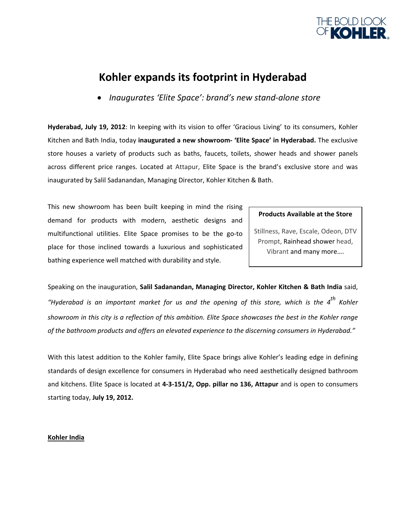

# **Kohler expands its footprint in Hyderabad**

• *Inaugurates 'Elite Space': brand's new stand‐alone store*

**Hyderabad, July 19, 2012**: In keeping with its vision to offer 'Gracious Living' to its consumers, Kohler Kitchen and Bath India, today **inaugurated a new showroom‐ 'Elite Space' in Hyderabad.** The exclusive store houses a variety of products such as baths, faucets, toilets, shower heads and shower panels across different price ranges. Located at Attapur, Elite Space is the brand's exclusive store and was inaugurated by Salil Sadanandan, Managing Director, Kohler Kitchen & Bath.

This new showroom has been built keeping in mind the rising demand for products with modern, aesthetic designs and multifunctional utilities. Elite Space promises to be the go‐to place for those inclined towards a luxurious and sophisticated bathing experience well matched with durability and style.

## **Products Available at the Store**

Stillness, Rave, Escale, Odeon, DTV Prompt, Rainhead shower head, Vibrant and many more….

Speaking on the inauguration, **Salil Sadanandan, Managing Director, Kohler Kitchen & Bath India** said, "Hyderabad is an important market for us and the opening of this store, which is the  $4^{th}$  Kohler showroom in this city is a reflection of this ambition. Elite Space showcases the best in the Kohler range *of the bathroom products and offers an elevated experience to the discerning consumers in Hyderabad."* 

With this latest addition to the Kohler family, Elite Space brings alive Kohler's leading edge in defining standards of design excellence for consumers in Hyderabad who need aesthetically designed bathroom and kitchens. Elite Space is located at **4‐3‐151/2, Opp. pillar no 136, Attapur** and is open to consumers starting today, **July 19, 2012.**

## **Kohler India**